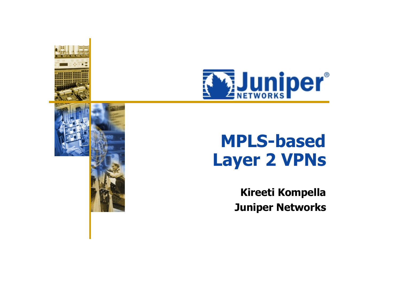



# **MPLS-based Layer 2 VPNs**

**Kireeti Kompella Juniper Networks**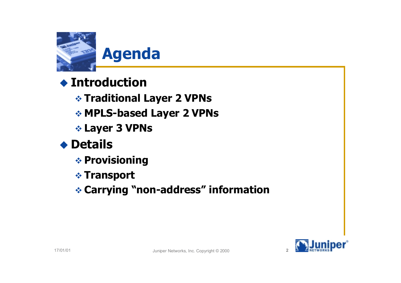

#### ! **Introduction**

" **Traditional Layer 2 VPNs**

- " **MPLS-based Layer 2 VPNs**
- " **Layer 3 VPNs**



- $\triangle$  **Provisioning**
- " **Transport**

" **Carrying "non-address" information**

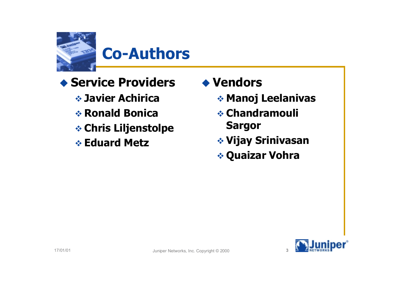

### **Co-Authors**

- ! **Service Providers**
	- " **Javier Achirica**
	- " **Ronald Bonica**
	- " **Chris Liljenstolpe**
	- " **Eduard Metz**
- ! **Vendors**
	- " **Manoj Leelanivas**
	- " **Chandramouli Sargor**
	- " **Vijay Srinivasan**
	- " **Quaizar Vohra**

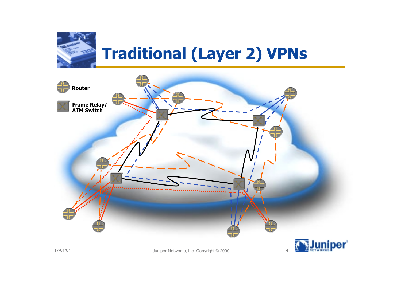

# **Traditional (Layer 2) VPNs**





17/01/01 **And Strutter Controlleries and Strutter Juniper Networks, Inc. Copyright © 2000**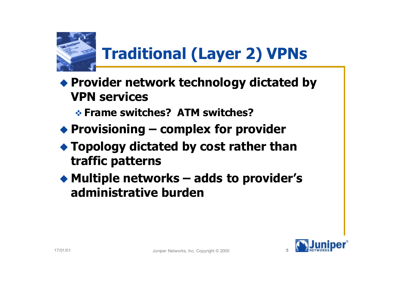

# **Traditional (Layer 2) VPNs**

- ! **Provider network technology dictated by VPN services**
	- " **Frame switches? ATM switches?**
- ! **Provisioning complex for provider**
- ! **Topology dictated by cost rather than traffic patterns**
- ! **Multiple networks adds to provider's administrative burden**

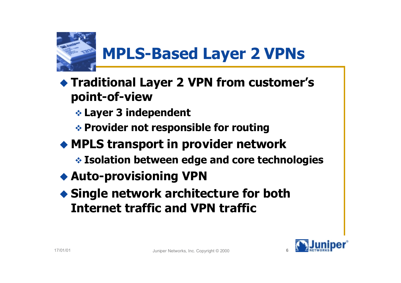

# **MPLS-Based Layer 2 VPNs**

- ! **Traditional Layer 2 VPN from customer's point-of-view**
	- " **Layer 3 independent**
	- " **Provider not responsible for routing**
- ! **MPLS transport in provider network**
	- " **Isolation between edge and core technologies**
- ! **Auto-provisioning VPN**
- ! **Single network architecture for both Internet traffic and VPN traffic**

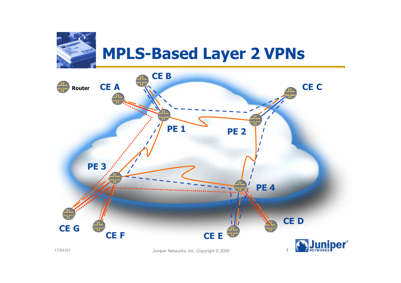

### **MPLS-Based Layer 2 VPNs**

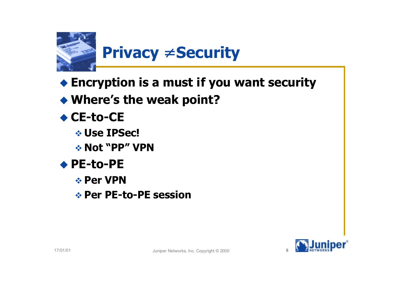

- ! **Encryption is a must if you want security**
- ! **Where's the weak point?**
- ◆ CE-to-CE
	- " **Use IPSec!**
	- " **Not "PP" VPN**
- ◆ PE-to-PE
	- " **Per VPN**
	- " **Per PE-to-PE session**

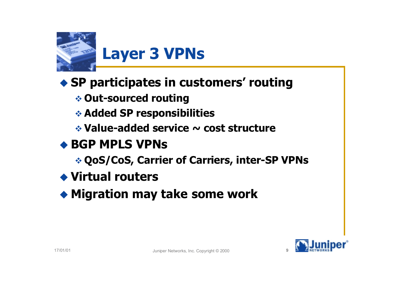

### ! **SP participates in customers' routing**

" **Out-sourced routing**

" **Added SP responsibilities**

" **Value-added service ~ cost structure**

### ◆ **BGP MPLS VPNs**

" **QoS/CoS, Carrier of Carriers, inter-SP VPNs**

! **Virtual routers**

! **Migration may take some work**

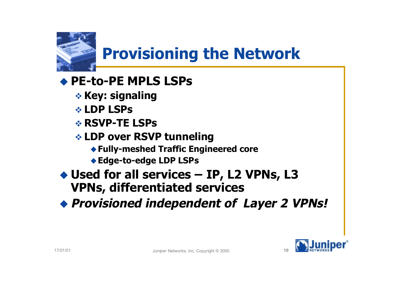

# **Provisioning the Network**

### ! **PE-to-PE MPLS LSPs**

- **\* Key: signaling**
- " **LDP LSPs**
- " **RSVP-TE LSPs**
- " **LDP over RSVP tunneling**
	- !**Fully-meshed Traffic Engineered core**
	- ◆ Edge-to-edge LDP LSPs
- ◆ Used for all services IP, L2 VPNs, L3 **VPNs, differentiated services**
- ! **Provisioned independent of Layer 2 VPNs!**

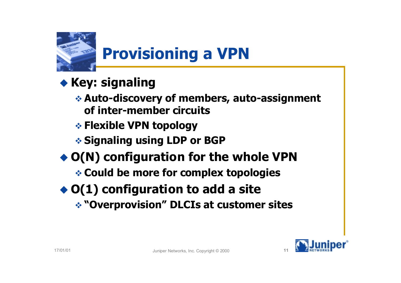

# **Provisioning a VPN**

- ◆ Key: signaling
	- " **Auto-discovery of members, auto-assignment of inter-member circuits**
	- " **Flexible VPN topology**
	- " **Signaling using LDP or BGP**
- ◆ O(N) configuration for the whole VPN " **Could be more for complex topologies**
- ◆ O(1) configuration to add a site
	- " **"Overprovision" DLCIs at customer sites**

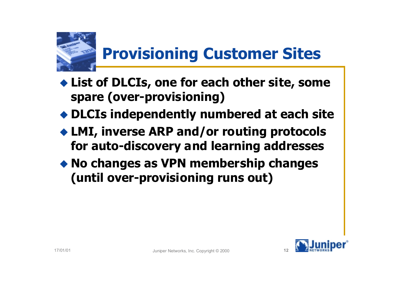

## **Provisioning Customer Sites**

- ! **List of DLCIs, one for each other site, some spare (over-provisioning)**
- ! **DLCIs independently numbered at each site**
- ! **LMI, inverse ARP and/or routing protocols for auto-discovery and learning addresses**
- ! **No changes as VPN membership changes (until over-provisioning runs out)**

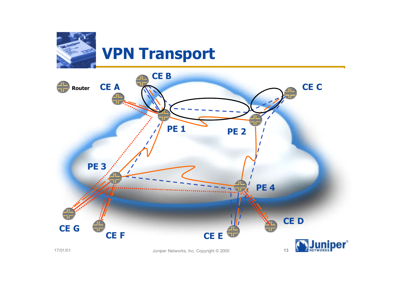

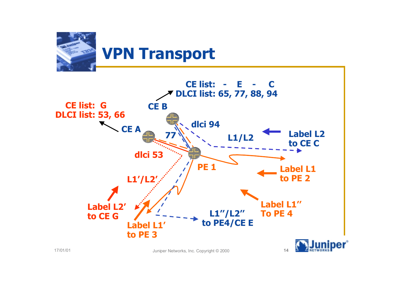

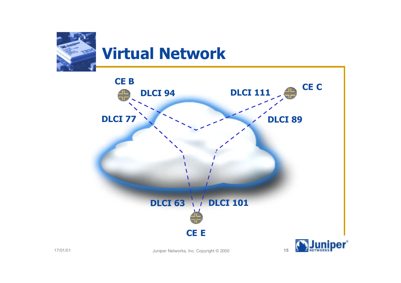



17/01/01 Juniper Networks, Inc. Copyright © 2000 **<sup>15</sup>**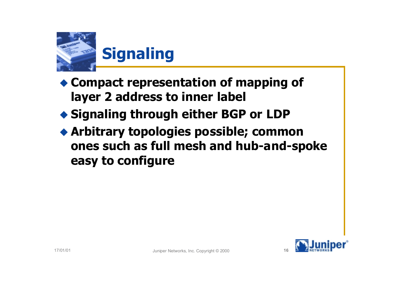

- ! **Compact representation of mapping of layer 2 address to inner label**
- ! **Signaling through either BGP or LDP**
- ! **Arbitrary topologies possible; common ones such as full mesh and hub-and-spoke easy to configure**

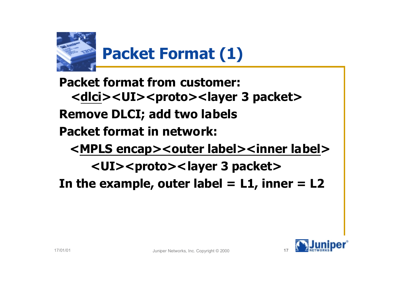

**Packet format from customer: <dlci><UI><proto><layer 3 packet> Remove DLCI; add two labels Packet format in network: <MPLS encap><outer label><inner label> <UI><proto><layer 3 packet>** In the example, outer label  $= L1$ , inner  $= L2$ 

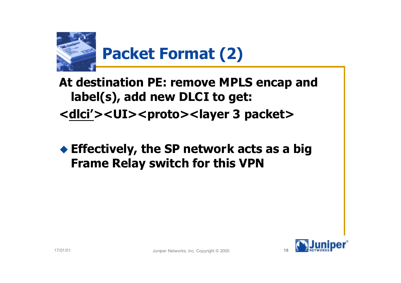

### **At destination PE: remove MPLS encap and label(s), add new DLCI to get: <dlci'><UI><proto><layer 3 packet>**

#### ! **Effectively, the SP network acts as a big Frame Relay switch for this VPN**

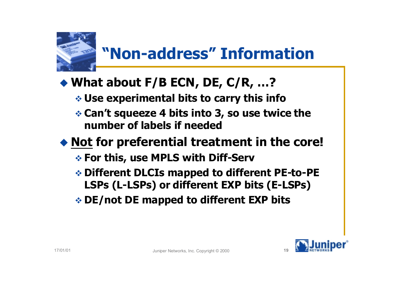

### **"Non-address" Information**

### ◆ What about F/B ECN, DE, C/R, ...?

" **Use experimental bits to carry this info**

 **❖ Can't squeeze 4 bits into 3, so use twice the number of labels if needed**

### ! **Not for preferential treatment in the core!**

- " **For this, use MPLS with Diff-Serv**
- " **Different DLCIs mapped to different PE-to-PE LSPs (L-LSPs) or different EXP bits (E-LSPs)**
- " **DE/not DE mapped to different EXP bits**

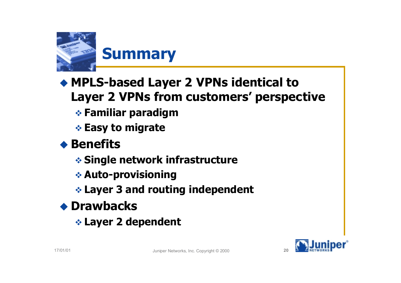

### ! **MPLS-based Layer 2 VPNs identical to Layer 2 VPNs from customers' perspective**

- " **Familiar paradigm**
- " **Easy to migrate**

#### **◆ Benefits**

- " **Single network infrastructure**
- " **Auto-provisioning**
- **Example 2 and routing independent**

### ! **Drawbacks**

" **Layer 2 dependent**

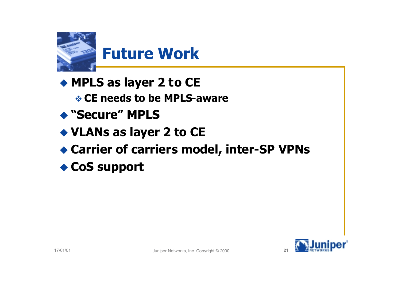

! **MPLS as layer 2 to CE**

" **CE needs to be MPLS-aware**

- ! **"Secure" MPLS**
- ! **VLANs as layer 2 to CE**
- ! **Carrier of carriers model, inter-SP VPNs**
- ! **CoS support**